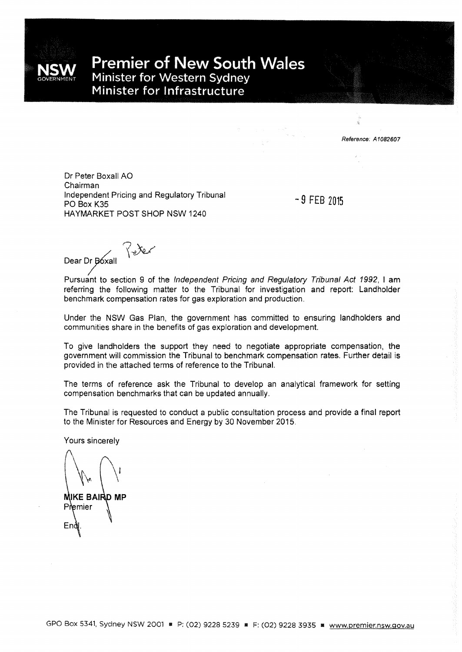

**Premier of New South Wales** Minister for Western Sydney Minister for Infrastructure

Reference: A1082607

Dr Peter Boxall AO Chairman Independent Pricing and Regulatory Tribunal PO Box K35 HAYMARKET POST SHOP NSW 1240

-9 FEB <sup>2015</sup>

Dear Dr Boxall

Pursuant to section 9 of the Independent Pricing and Regulatory Tribunal Act 1992, I am referring the following matter to the Tribunal for investigation and report: Landholder benchmark compensation rates for gas exploration and production.

Under the NSW Gas Plan, the government has committed to ensuring landholders and communities share in the benefits of gas exploration and development

To give landholders the support they need to negotiate appropriate compensation, the government will commission the Tribunal to benchmark compensation rates. Further detail is provided in the attached terms of reference to the Tribunal.

The terms of reference ask the Tribunal to develop an analytical framework for setting compensation benchmarks that can be updated annually.

The Tribunal is requested to conduct a public consultation process and provide a final report to the Minister for Resources and Energy by 30 November 2015.

Yours sincerely

**MIKE BAIRD MP** Premier En